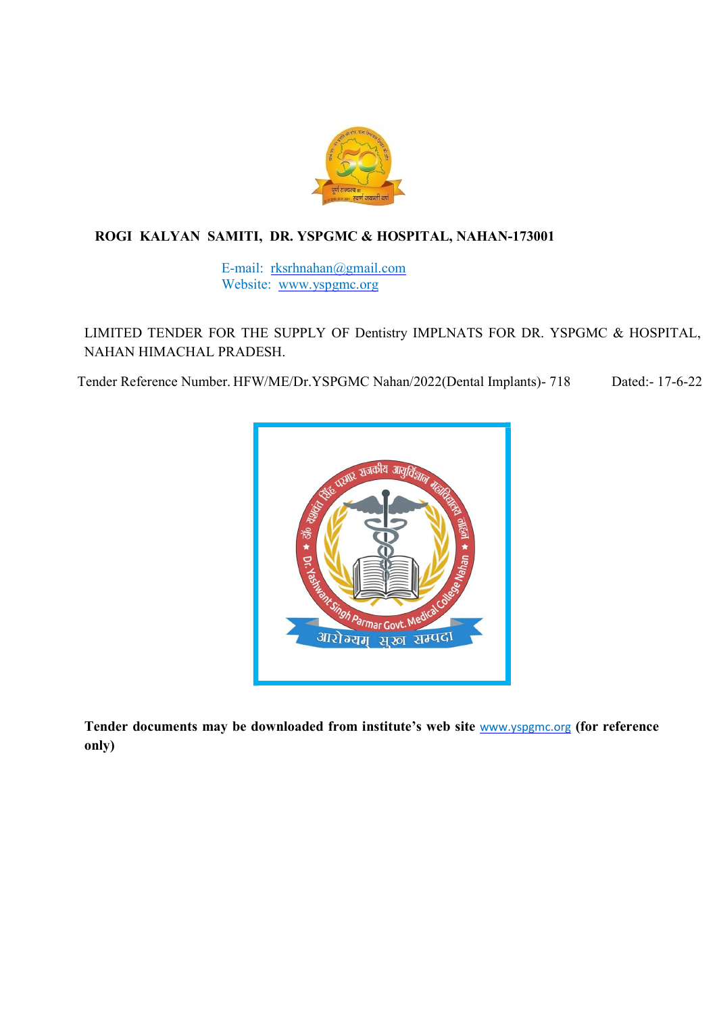

### ROGI KALYAN SAMITI, DR. YSPGMC & HOSPITAL, NAHAN-173001

E-mail: rksrhnahan@gmail.com Website: www.yspgmc.org

LIMITED TENDER FOR THE SUPPLY OF Dentistry IMPLNATS FOR DR. YSPGMC & HOSPITAL, NAHAN HIMACHAL PRADESH.

Tender Reference Number. HFW/ME/Dr.YSPGMC Nahan/2022(Dental Implants)- 718 Dated:- 17-6-22



Tender documents may be downloaded from institute's web site www.yspgmc.org (for reference only)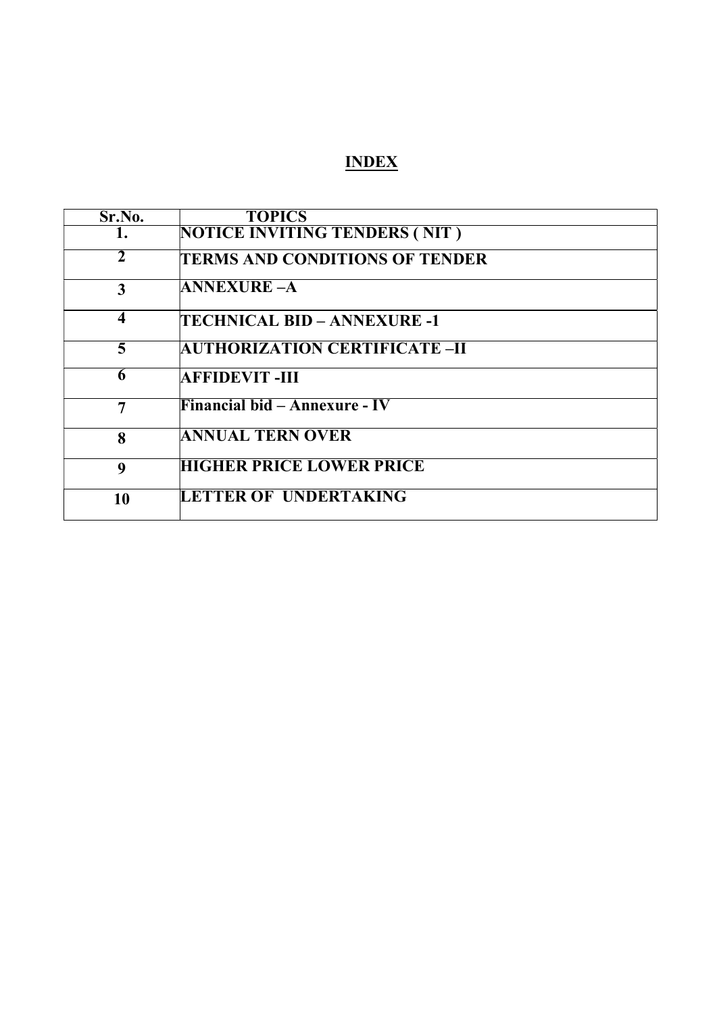# INDEX

| Sr.No.                  | <b>TOPICS</b>                         |
|-------------------------|---------------------------------------|
| п.                      | NOTICE INVITING TENDERS (NIT)         |
| $\mathbf{2}$            | <b>TERMS AND CONDITIONS OF TENDER</b> |
| 3                       | <b>ANNEXURE –A</b>                    |
| $\overline{\mathbf{4}}$ | TECHNICAL BID – ANNEXURE -1           |
| 5                       | <b>AUTHORIZATION CERTIFICATE –II</b>  |
| 6                       | AFFIDEVIT -III                        |
| 7                       | <b>Financial bid – Annexure - IV</b>  |
| 8                       | <b>ANNUAL TERN OVER</b>               |
| $\boldsymbol{Q}$        | <b>HIGHER PRICE LOWER PRICE</b>       |
| 10                      | <b>LETTER OF UNDERTAKING</b>          |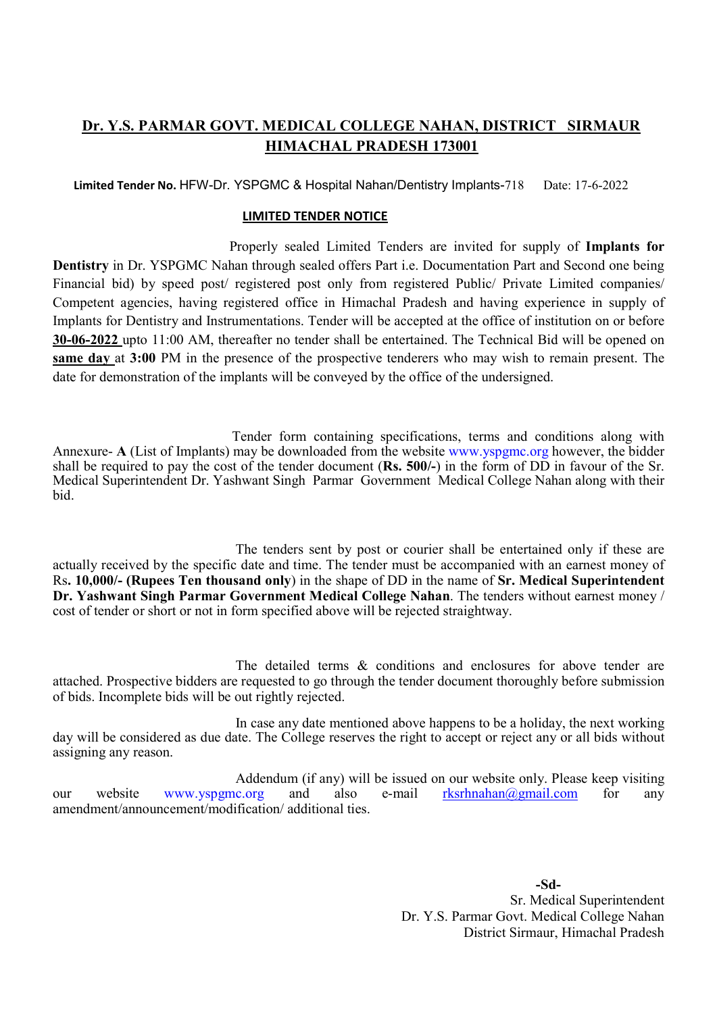### Dr. Y.S. PARMAR GOVT. MEDICAL COLLEGE NAHAN, DISTRICT SIRMAUR HIMACHAL PRADESH 173001

Limited Tender No. HFW-Dr. YSPGMC & Hospital Nahan/Dentistry Implants-718 Date: 17-6-2022

#### LIMITED TENDER NOTICE

 Properly sealed Limited Tenders are invited for supply of Implants for Dentistry in Dr. YSPGMC Nahan through sealed offers Part i.e. Documentation Part and Second one being Financial bid) by speed post/ registered post only from registered Public/ Private Limited companies/ Competent agencies, having registered office in Himachal Pradesh and having experience in supply of Implants for Dentistry and Instrumentations. Tender will be accepted at the office of institution on or before 30-06-2022 upto 11:00 AM, thereafter no tender shall be entertained. The Technical Bid will be opened on same day at 3:00 PM in the presence of the prospective tenderers who may wish to remain present. The date for demonstration of the implants will be conveyed by the office of the undersigned.

 Tender form containing specifications, terms and conditions along with Annexure- A (List of Implants) may be downloaded from the website www.yspgmc.org however, the bidder shall be required to pay the cost of the tender document (Rs. 500/-) in the form of  $D\overline{D}$  in favour of the Sr. Medical Superintendent Dr. Yashwant Singh Parmar Government Medical College Nahan along with their bid.

 The tenders sent by post or courier shall be entertained only if these are actually received by the specific date and time. The tender must be accompanied with an earnest money of Rs. 10,000/- (Rupees Ten thousand only) in the shape of DD in the name of Sr. Medical Superintendent Dr. Yashwant Singh Parmar Government Medical College Nahan. The tenders without earnest money / cost of tender or short or not in form specified above will be rejected straightway.

 The detailed terms & conditions and enclosures for above tender are attached. Prospective bidders are requested to go through the tender document thoroughly before submission of bids. Incomplete bids will be out rightly rejected.

 In case any date mentioned above happens to be a holiday, the next working day will be considered as due date. The College reserves the right to accept or reject any or all bids without assigning any reason.

 Addendum (if any) will be issued on our website only. Please keep visiting our website www.yspgmc.org and also e-mail rksrhnahan@gmail.com for any amendment/announcement/modification/ additional ties.

> -Sd-Sr. Medical Superintendent Dr. Y.S. Parmar Govt. Medical College Nahan District Sirmaur, Himachal Pradesh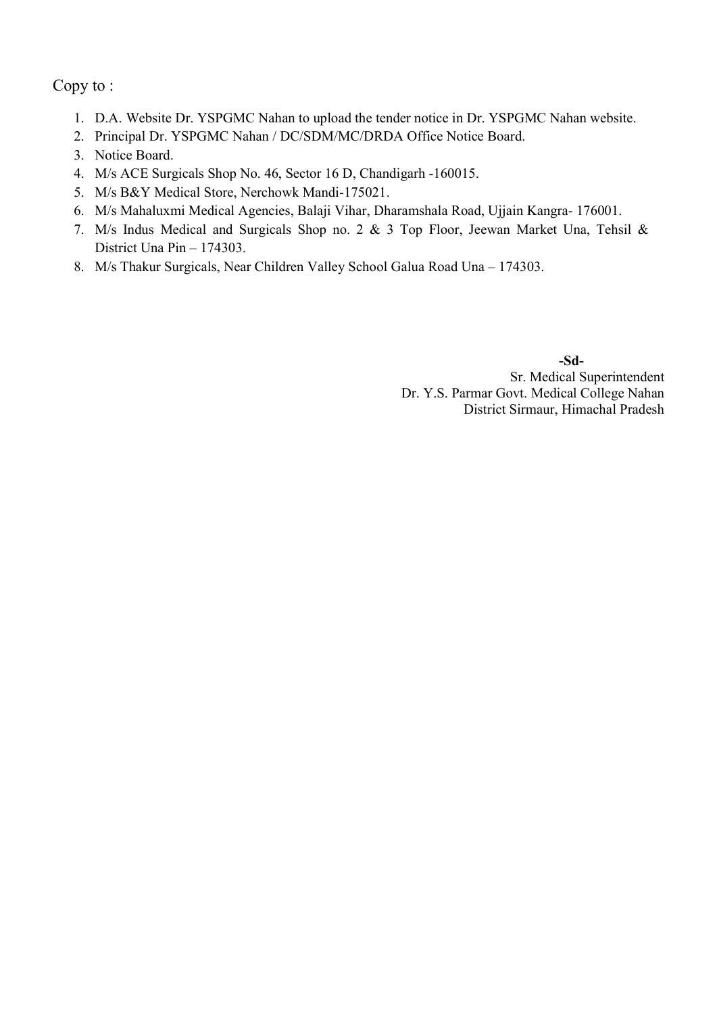Copy to :

- 1. D.A. Website Dr. YSPGMC Nahan to upload the tender notice in Dr. YSPGMC Nahan website.
- 2. Principal Dr. YSPGMC Nahan / DC/SDM/MC/DRDA Office Notice Board.
- 3. Notice Board.
- 4. M/s ACE Surgicals Shop No. 46, Sector 16 D, Chandigarh -160015.
- 5. M/s B&Y Medical Store, Nerchowk Mandi-175021.
- 6. M/s Mahaluxmi Medical Agencies, Balaji Vihar, Dharamshala Road, Ujjain Kangra- 176001.
- 7. M/s Indus Medical and Surgicals Shop no. 2 & 3 Top Floor, Jeewan Market Una, Tehsil & District Una Pin – 174303.
- 8. M/s Thakur Surgicals, Near Children Valley School Galua Road Una 174303.

-Sd-Sr. Medical Superintendent Dr. Y.S. Parmar Govt. Medical College Nahan District Sirmaur, Himachal Pradesh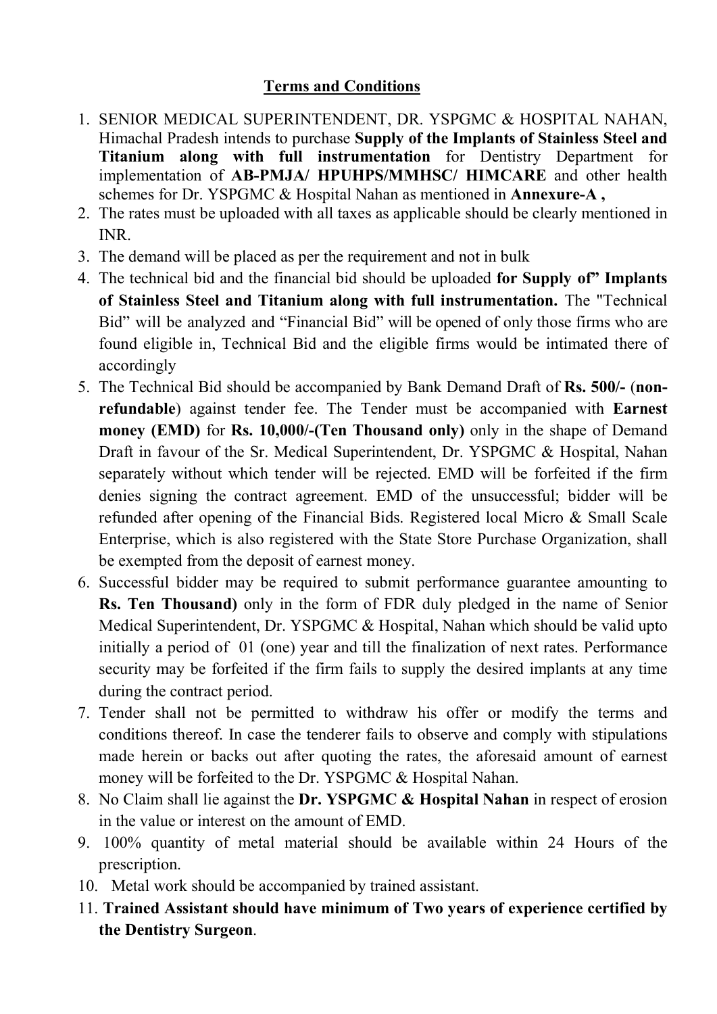# Terms and Conditions

- 1. SENIOR MEDICAL SUPERINTENDENT, DR. YSPGMC & HOSPITAL NAHAN, Himachal Pradesh intends to purchase Supply of the Implants of Stainless Steel and Titanium along with full instrumentation for Dentistry Department for implementation of AB-PMJA/ HPUHPS/MMHSC/ HIMCARE and other health schemes for Dr. YSPGMC & Hospital Nahan as mentioned in Annexure-A ,
- 2. The rates must be uploaded with all taxes as applicable should be clearly mentioned in INR.
- 3. The demand will be placed as per the requirement and not in bulk
- 4. The technical bid and the financial bid should be uploaded for Supply of" Implants of Stainless Steel and Titanium along with full instrumentation. The "Technical Bid" will be analyzed and "Financial Bid" will be opened of only those firms who are found eligible in, Technical Bid and the eligible firms would be intimated there of accordingly
- 5. The Technical Bid should be accompanied by Bank Demand Draft of Rs. 500/- (nonrefundable) against tender fee. The Tender must be accompanied with Earnest money (EMD) for Rs. 10,000/-(Ten Thousand only) only in the shape of Demand Draft in favour of the Sr. Medical Superintendent, Dr. YSPGMC & Hospital, Nahan separately without which tender will be rejected. EMD will be forfeited if the firm denies signing the contract agreement. EMD of the unsuccessful; bidder will be refunded after opening of the Financial Bids. Registered local Micro & Small Scale Enterprise, which is also registered with the State Store Purchase Organization, shall be exempted from the deposit of earnest money.
- 6. Successful bidder may be required to submit performance guarantee amounting to Rs. Ten Thousand) only in the form of FDR duly pledged in the name of Senior Medical Superintendent, Dr. YSPGMC & Hospital, Nahan which should be valid upto initially a period of 01 (one) year and till the finalization of next rates. Performance security may be forfeited if the firm fails to supply the desired implants at any time during the contract period.
- 7. Tender shall not be permitted to withdraw his offer or modify the terms and conditions thereof. In case the tenderer fails to observe and comply with stipulations made herein or backs out after quoting the rates, the aforesaid amount of earnest money will be forfeited to the Dr. YSPGMC & Hospital Nahan.
- 8. No Claim shall lie against the Dr. YSPGMC & Hospital Nahan in respect of erosion in the value or interest on the amount of EMD.
- 9. 100% quantity of metal material should be available within 24 Hours of the prescription.
- 10. Metal work should be accompanied by trained assistant.
- 11. Trained Assistant should have minimum of Two years of experience certified by the Dentistry Surgeon.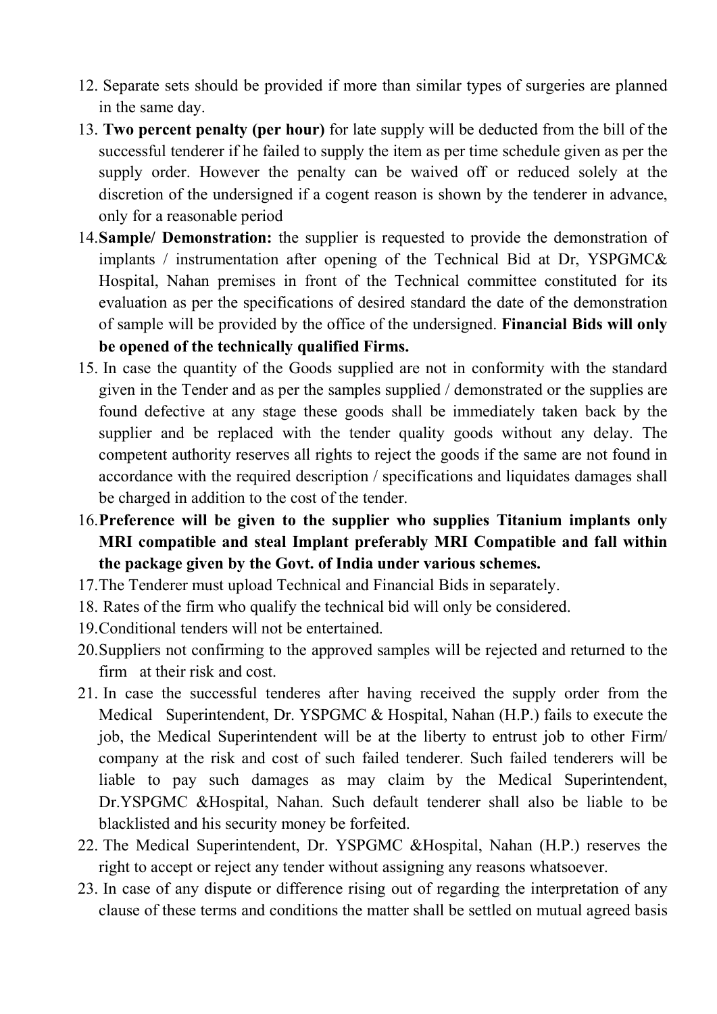- 12. Separate sets should be provided if more than similar types of surgeries are planned in the same day.
- 13. Two percent penalty (per hour) for late supply will be deducted from the bill of the successful tenderer if he failed to supply the item as per time schedule given as per the supply order. However the penalty can be waived off or reduced solely at the discretion of the undersigned if a cogent reason is shown by the tenderer in advance, only for a reasonable period
- 14.Sample/ Demonstration: the supplier is requested to provide the demonstration of implants / instrumentation after opening of the Technical Bid at Dr, YSPGMC& Hospital, Nahan premises in front of the Technical committee constituted for its evaluation as per the specifications of desired standard the date of the demonstration of sample will be provided by the office of the undersigned. Financial Bids will only be opened of the technically qualified Firms.
- 15. In case the quantity of the Goods supplied are not in conformity with the standard given in the Tender and as per the samples supplied / demonstrated or the supplies are found defective at any stage these goods shall be immediately taken back by the supplier and be replaced with the tender quality goods without any delay. The competent authority reserves all rights to reject the goods if the same are not found in accordance with the required description / specifications and liquidates damages shall be charged in addition to the cost of the tender.
- 16.Preference will be given to the supplier who supplies Titanium implants only MRI compatible and steal Implant preferably MRI Compatible and fall within the package given by the Govt. of India under various schemes.
- 17.The Tenderer must upload Technical and Financial Bids in separately.
- 18. Rates of the firm who qualify the technical bid will only be considered.
- 19.Conditional tenders will not be entertained.
- 20.Suppliers not confirming to the approved samples will be rejected and returned to the firm at their risk and cost.
- 21. In case the successful tenderes after having received the supply order from the Medical Superintendent, Dr. YSPGMC & Hospital, Nahan (H.P.) fails to execute the job, the Medical Superintendent will be at the liberty to entrust job to other Firm/ company at the risk and cost of such failed tenderer. Such failed tenderers will be liable to pay such damages as may claim by the Medical Superintendent, Dr.YSPGMC &Hospital, Nahan. Such default tenderer shall also be liable to be blacklisted and his security money be forfeited.
- 22. The Medical Superintendent, Dr. YSPGMC &Hospital, Nahan (H.P.) reserves the right to accept or reject any tender without assigning any reasons whatsoever.
- 23. In case of any dispute or difference rising out of regarding the interpretation of any clause of these terms and conditions the matter shall be settled on mutual agreed basis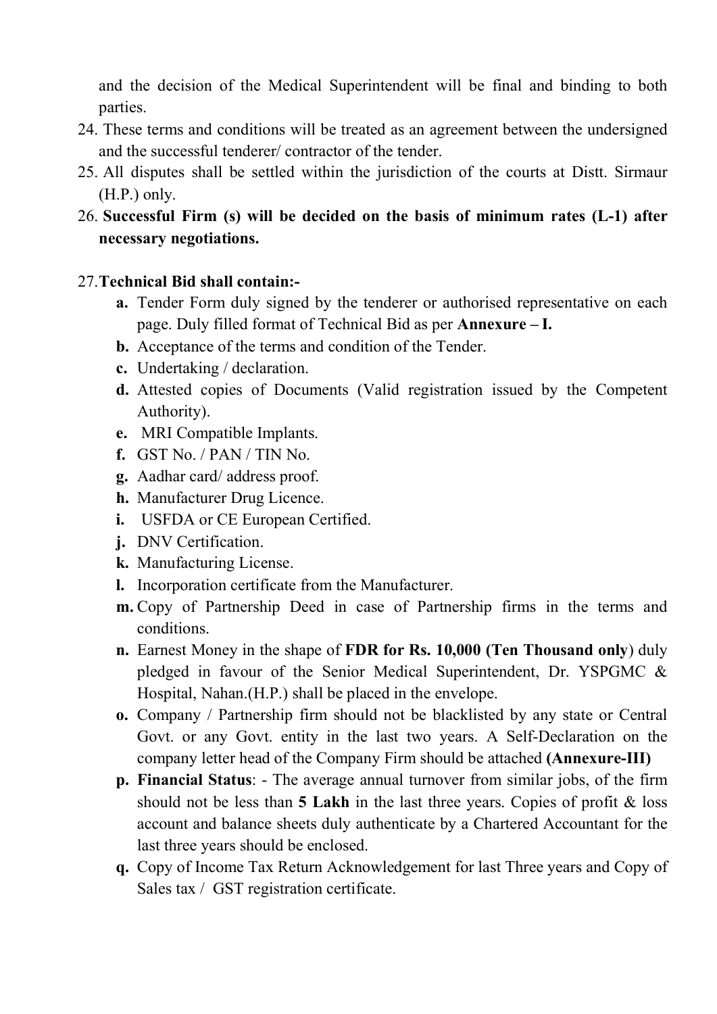and the decision of the Medical Superintendent will be final and binding to both parties.

- 24. These terms and conditions will be treated as an agreement between the undersigned and the successful tenderer/ contractor of the tender.
- 25. All disputes shall be settled within the jurisdiction of the courts at Distt. Sirmaur (H.P.) only.
- 26. Successful Firm (s) will be decided on the basis of minimum rates (L-1) after necessary negotiations.

# 27.Technical Bid shall contain:-

- a. Tender Form duly signed by the tenderer or authorised representative on each page. Duly filled format of Technical Bid as per Annexure – I.
- b. Acceptance of the terms and condition of the Tender.
- c. Undertaking / declaration.
- d. Attested copies of Documents (Valid registration issued by the Competent Authority).
- e. MRI Compatible Implants.
- f. GST No. / PAN / TIN No.
- g. Aadhar card/ address proof.
- h. Manufacturer Drug Licence.
- i. USFDA or CE European Certified.
- j. DNV Certification.
- k. Manufacturing License.
- l. Incorporation certificate from the Manufacturer.
- m. Copy of Partnership Deed in case of Partnership firms in the terms and conditions.
- n. Earnest Money in the shape of FDR for Rs. 10,000 (Ten Thousand only) duly pledged in favour of the Senior Medical Superintendent, Dr. YSPGMC & Hospital, Nahan.(H.P.) shall be placed in the envelope.
- o. Company / Partnership firm should not be blacklisted by any state or Central Govt. or any Govt. entity in the last two years. A Self-Declaration on the company letter head of the Company Firm should be attached (Annexure-III)
- p. Financial Status: The average annual turnover from similar jobs, of the firm should not be less than 5 Lakh in the last three years. Copies of profit  $\&$  loss account and balance sheets duly authenticate by a Chartered Accountant for the last three years should be enclosed.
- q. Copy of Income Tax Return Acknowledgement for last Three years and Copy of Sales tax / GST registration certificate.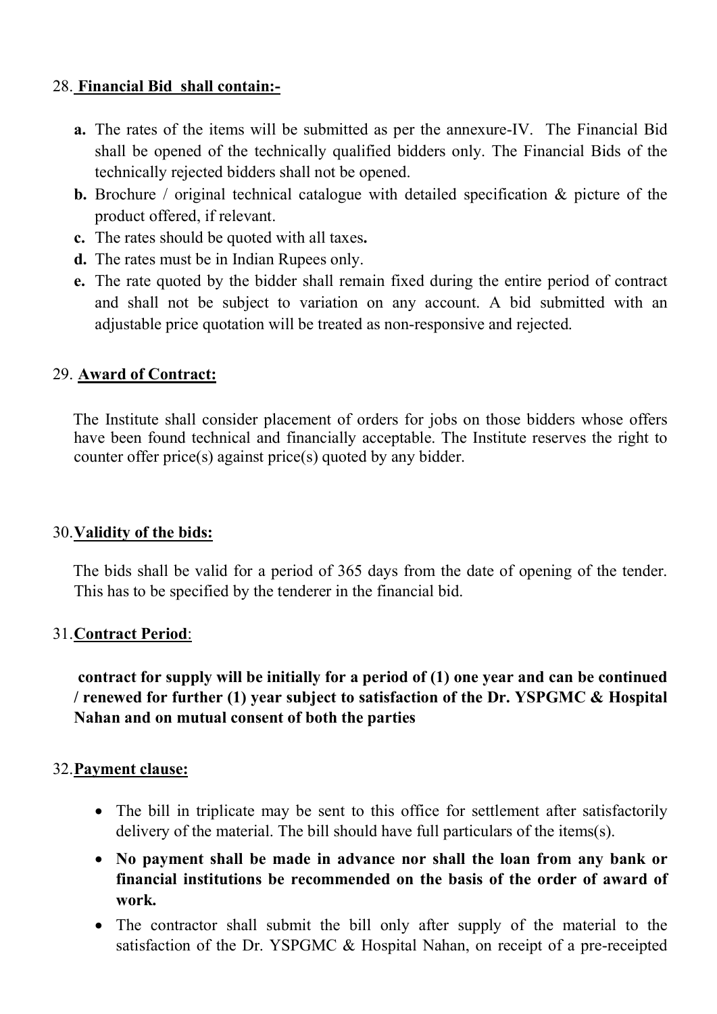# 28. Financial Bid shall contain:-

- a. The rates of the items will be submitted as per the annexure-IV. The Financial Bid shall be opened of the technically qualified bidders only. The Financial Bids of the technically rejected bidders shall not be opened.
- **b.** Brochure / original technical catalogue with detailed specification  $\&$  picture of the product offered, if relevant.
- c. The rates should be quoted with all taxes.
- d. The rates must be in Indian Rupees only.
- e. The rate quoted by the bidder shall remain fixed during the entire period of contract and shall not be subject to variation on any account. A bid submitted with an adjustable price quotation will be treated as non-responsive and rejected.

# 29. Award of Contract:

 The Institute shall consider placement of orders for jobs on those bidders whose offers have been found technical and financially acceptable. The Institute reserves the right to counter offer price(s) against price(s) quoted by any bidder.

# 30.Validity of the bids:

 The bids shall be valid for a period of 365 days from the date of opening of the tender. This has to be specified by the tenderer in the financial bid.

# 31.Contract Period:

 contract for supply will be initially for a period of (1) one year and can be continued / renewed for further (1) year subject to satisfaction of the Dr. YSPGMC & Hospital Nahan and on mutual consent of both the parties

# 32.Payment clause:

- The bill in triplicate may be sent to this office for settlement after satisfactorily delivery of the material. The bill should have full particulars of the items(s).
- No payment shall be made in advance nor shall the loan from any bank or financial institutions be recommended on the basis of the order of award of work.
- The contractor shall submit the bill only after supply of the material to the satisfaction of the Dr. YSPGMC & Hospital Nahan, on receipt of a pre-receipted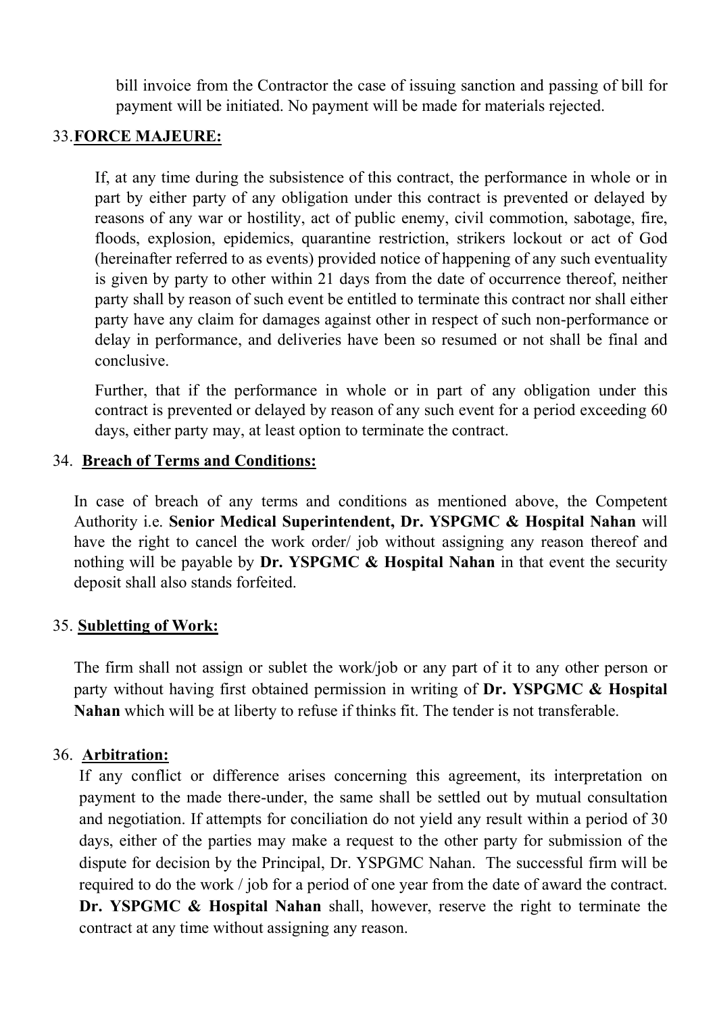bill invoice from the Contractor the case of issuing sanction and passing of bill for payment will be initiated. No payment will be made for materials rejected.

### 33.FORCE MAJEURE:

If, at any time during the subsistence of this contract, the performance in whole or in part by either party of any obligation under this contract is prevented or delayed by reasons of any war or hostility, act of public enemy, civil commotion, sabotage, fire, floods, explosion, epidemics, quarantine restriction, strikers lockout or act of God (hereinafter referred to as events) provided notice of happening of any such eventuality is given by party to other within 21 days from the date of occurrence thereof, neither party shall by reason of such event be entitled to terminate this contract nor shall either party have any claim for damages against other in respect of such non-performance or delay in performance, and deliveries have been so resumed or not shall be final and conclusive.

Further, that if the performance in whole or in part of any obligation under this contract is prevented or delayed by reason of any such event for a period exceeding 60 days, either party may, at least option to terminate the contract.

### 34. Breach of Terms and Conditions:

In case of breach of any terms and conditions as mentioned above, the Competent Authority i.e. Senior Medical Superintendent, Dr. YSPGMC & Hospital Nahan will have the right to cancel the work order/ job without assigning any reason thereof and nothing will be payable by  $Dr. YSPGMC \& Hospital Nahan$  in that event the security deposit shall also stands forfeited.

#### 35. Subletting of Work:

The firm shall not assign or sublet the work/job or any part of it to any other person or party without having first obtained permission in writing of Dr. YSPGMC & Hospital Nahan which will be at liberty to refuse if thinks fit. The tender is not transferable.

#### 36. Arbitration:

If any conflict or difference arises concerning this agreement, its interpretation on payment to the made there-under, the same shall be settled out by mutual consultation and negotiation. If attempts for conciliation do not yield any result within a period of 30 days, either of the parties may make a request to the other party for submission of the dispute for decision by the Principal, Dr. YSPGMC Nahan. The successful firm will be required to do the work / job for a period of one year from the date of award the contract. Dr. YSPGMC & Hospital Nahan shall, however, reserve the right to terminate the contract at any time without assigning any reason.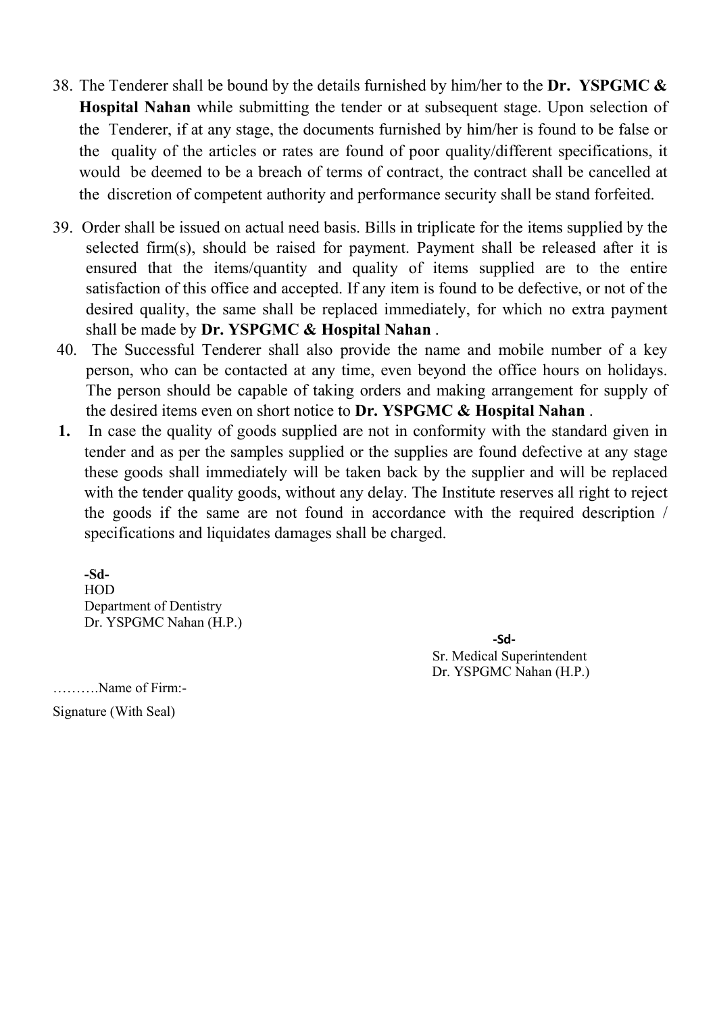- 38. The Tenderer shall be bound by the details furnished by him/her to the Dr. YSPGMC  $\&$ Hospital Nahan while submitting the tender or at subsequent stage. Upon selection of the Tenderer, if at any stage, the documents furnished by him/her is found to be false or the quality of the articles or rates are found of poor quality/different specifications, it would be deemed to be a breach of terms of contract, the contract shall be cancelled at the discretion of competent authority and performance security shall be stand forfeited.
- 39. Order shall be issued on actual need basis. Bills in triplicate for the items supplied by the selected firm(s), should be raised for payment. Payment shall be released after it is ensured that the items/quantity and quality of items supplied are to the entire satisfaction of this office and accepted. If any item is found to be defective, or not of the desired quality, the same shall be replaced immediately, for which no extra payment shall be made by Dr. YSPGMC & Hospital Nahan.
- 40. The Successful Tenderer shall also provide the name and mobile number of a key person, who can be contacted at any time, even beyond the office hours on holidays. The person should be capable of taking orders and making arrangement for supply of the desired items even on short notice to Dr. YSPGMC & Hospital Nahan.
- 1. In case the quality of goods supplied are not in conformity with the standard given in tender and as per the samples supplied or the supplies are found defective at any stage these goods shall immediately will be taken back by the supplier and will be replaced with the tender quality goods, without any delay. The Institute reserves all right to reject the goods if the same are not found in accordance with the required description / specifications and liquidates damages shall be charged.

-Sd-HOD Department of Dentistry Dr. YSPGMC Nahan (H.P.)

-Sd-Sr. Medical Superintendent Dr. YSPGMC Nahan (H.P.)

……….Name of Firm:-

Signature (With Seal)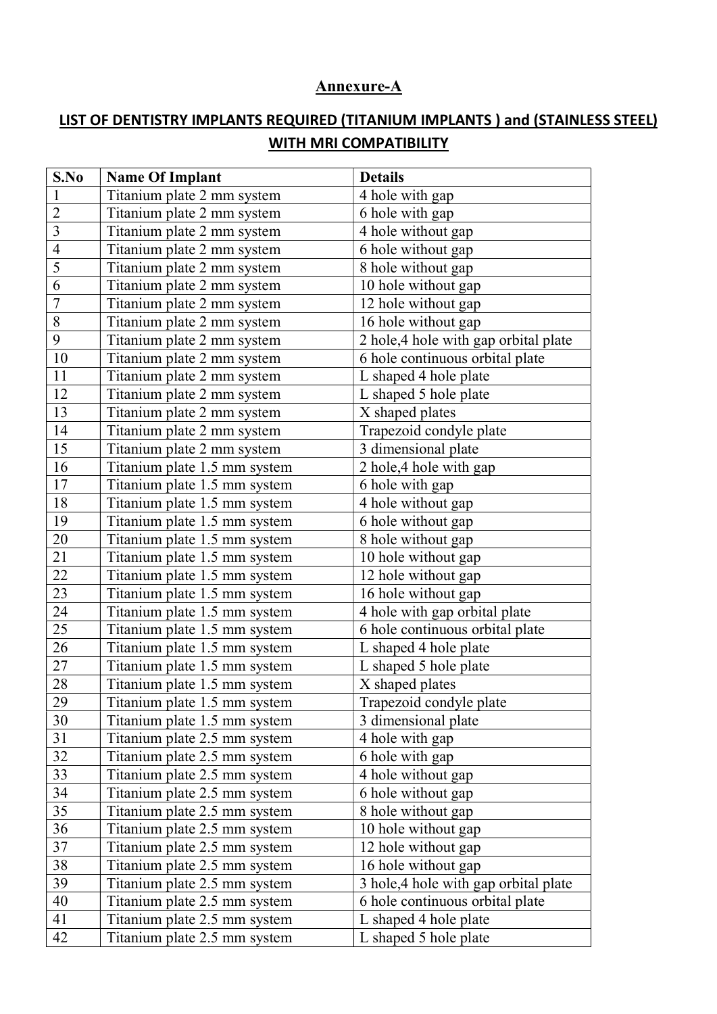#### Annexure-A

# LIST OF DENTISTRY IMPLANTS REQUIRED (TITANIUM IMPLANTS ) and (STAINLESS STEEL) WITH MRI COMPATIBILITY

| S.No                    | <b>Details</b><br><b>Name Of Implant</b> |                                      |  |
|-------------------------|------------------------------------------|--------------------------------------|--|
| $\mathbf{1}$            | Titanium plate 2 mm system               | 4 hole with gap                      |  |
| $\overline{2}$          | Titanium plate 2 mm system               | 6 hole with gap                      |  |
| $\overline{\mathbf{3}}$ | Titanium plate 2 mm system               | 4 hole without gap                   |  |
| $\overline{4}$          | Titanium plate 2 mm system               | 6 hole without gap                   |  |
| 5                       | Titanium plate 2 mm system               | 8 hole without gap                   |  |
| 6                       | Titanium plate 2 mm system               | 10 hole without gap                  |  |
| $\overline{7}$          | Titanium plate 2 mm system               | 12 hole without gap                  |  |
| $\overline{8}$          | Titanium plate 2 mm system               | 16 hole without gap                  |  |
| 9                       | Titanium plate 2 mm system               | 2 hole,4 hole with gap orbital plate |  |
| 10                      | Titanium plate 2 mm system               | 6 hole continuous orbital plate      |  |
| 11                      | Titanium plate 2 mm system               | L shaped 4 hole plate                |  |
| 12                      | Titanium plate 2 mm system               | L shaped 5 hole plate                |  |
| 13                      | Titanium plate 2 mm system               | X shaped plates                      |  |
| 14                      | Titanium plate 2 mm system               | Trapezoid condyle plate              |  |
| 15                      | Titanium plate 2 mm system               | 3 dimensional plate                  |  |
| 16                      | Titanium plate 1.5 mm system             | 2 hole, 4 hole with gap              |  |
| 17                      | Titanium plate 1.5 mm system             | 6 hole with gap                      |  |
| 18                      | Titanium plate 1.5 mm system             | 4 hole without gap                   |  |
| 19                      | Titanium plate 1.5 mm system             | 6 hole without gap                   |  |
| 20                      | Titanium plate 1.5 mm system             | 8 hole without gap                   |  |
| 21                      | Titanium plate 1.5 mm system             | 10 hole without gap                  |  |
| 22                      | Titanium plate 1.5 mm system             | 12 hole without gap                  |  |
| 23                      | Titanium plate 1.5 mm system             | 16 hole without gap                  |  |
| 24                      | Titanium plate 1.5 mm system             | 4 hole with gap orbital plate        |  |
| 25                      | Titanium plate 1.5 mm system             | 6 hole continuous orbital plate      |  |
| 26                      | Titanium plate 1.5 mm system             | L shaped 4 hole plate                |  |
| 27                      | Titanium plate 1.5 mm system             | L shaped 5 hole plate                |  |
| 28                      | Titanium plate 1.5 mm system             | X shaped plates                      |  |
| 29                      | Titanium plate 1.5 mm system             | Trapezoid condyle plate              |  |
| 30                      | Titanium plate 1.5 mm system             | 3 dimensional plate                  |  |
| 31                      | Titanium plate 2.5 mm system             | 4 hole with gap                      |  |
| 32                      | Titanium plate 2.5 mm system             | 6 hole with gap                      |  |
| 33                      | Titanium plate 2.5 mm system             | 4 hole without gap                   |  |
| 34                      | Titanium plate 2.5 mm system             | 6 hole without gap                   |  |
| 35                      | Titanium plate 2.5 mm system             | 8 hole without gap                   |  |
| 36                      | Titanium plate 2.5 mm system             | 10 hole without gap                  |  |
| 37                      | Titanium plate 2.5 mm system             | 12 hole without gap                  |  |
| 38                      | Titanium plate 2.5 mm system             | 16 hole without gap                  |  |
| 39                      | Titanium plate 2.5 mm system             | 3 hole,4 hole with gap orbital plate |  |
| 40                      | Titanium plate 2.5 mm system             | 6 hole continuous orbital plate      |  |
| 41                      | Titanium plate 2.5 mm system             | L shaped 4 hole plate                |  |
| 42                      | Titanium plate 2.5 mm system             | L shaped 5 hole plate                |  |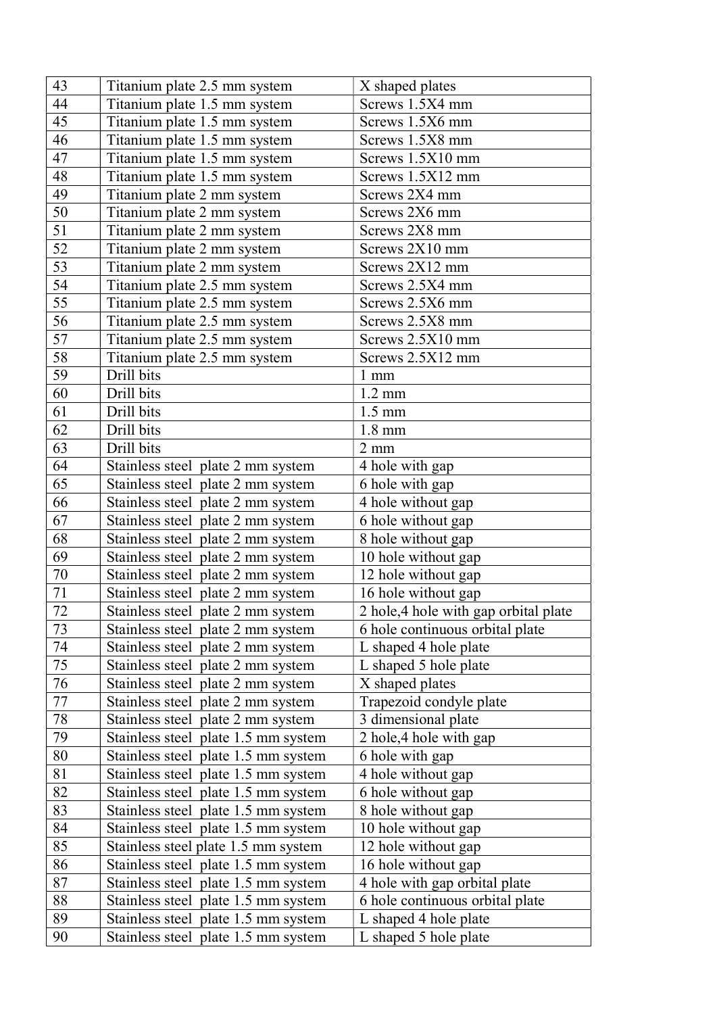| 43 | Titanium plate 2.5 mm system        | X shaped plates                      |  |  |
|----|-------------------------------------|--------------------------------------|--|--|
| 44 | Titanium plate 1.5 mm system        | Screws 1.5X4 mm                      |  |  |
| 45 | Titanium plate 1.5 mm system        | Screws 1.5X6 mm                      |  |  |
| 46 | Titanium plate 1.5 mm system        | Screws 1.5X8 mm                      |  |  |
| 47 | Titanium plate 1.5 mm system        | Screws 1.5X10 mm                     |  |  |
| 48 | Titanium plate 1.5 mm system        | Screws 1.5X12 mm                     |  |  |
| 49 | Titanium plate 2 mm system          | Screws 2X4 mm                        |  |  |
| 50 | Titanium plate 2 mm system          | Screws 2X6 mm                        |  |  |
| 51 | Titanium plate 2 mm system          | Screws 2X8 mm                        |  |  |
| 52 | Titanium plate 2 mm system          | Screws 2X10 mm                       |  |  |
| 53 | Titanium plate 2 mm system          | Screws 2X12 mm                       |  |  |
| 54 | Titanium plate 2.5 mm system        | Screws 2.5X4 mm                      |  |  |
| 55 | Titanium plate 2.5 mm system        | Screws 2.5X6 mm                      |  |  |
| 56 | Titanium plate 2.5 mm system        | Screws 2.5X8 mm                      |  |  |
| 57 | Titanium plate 2.5 mm system        | Screws 2.5X10 mm                     |  |  |
| 58 | Titanium plate 2.5 mm system        | Screws 2.5X12 mm                     |  |  |
| 59 | Drill bits                          | $1 \text{ mm}$                       |  |  |
| 60 | Drill bits                          | $1.2 \text{ mm}$                     |  |  |
| 61 | Drill bits                          | $1.5 \text{ mm}$                     |  |  |
| 62 | Drill bits                          | $1.8 \text{ mm}$                     |  |  |
| 63 | Drill bits                          | $2 \text{ mm}$                       |  |  |
| 64 | Stainless steel plate 2 mm system   | 4 hole with gap                      |  |  |
| 65 | Stainless steel plate 2 mm system   | 6 hole with gap                      |  |  |
| 66 | Stainless steel plate 2 mm system   | 4 hole without gap                   |  |  |
| 67 | Stainless steel plate 2 mm system   | 6 hole without gap                   |  |  |
| 68 | Stainless steel plate 2 mm system   | 8 hole without gap                   |  |  |
| 69 | Stainless steel plate 2 mm system   | 10 hole without gap                  |  |  |
| 70 | Stainless steel plate 2 mm system   | 12 hole without gap                  |  |  |
| 71 | Stainless steel plate 2 mm system   | 16 hole without gap                  |  |  |
| 72 | Stainless steel plate 2 mm system   | 2 hole,4 hole with gap orbital plate |  |  |
| 73 | Stainless steel plate 2 mm system   | 6 hole continuous orbital plate      |  |  |
| 74 | Stainless steel plate 2 mm system   | L shaped 4 hole plate                |  |  |
| 75 | Stainless steel plate 2 mm system   | L shaped 5 hole plate                |  |  |
| 76 | Stainless steel plate 2 mm system   | X shaped plates                      |  |  |
| 77 | Stainless steel plate 2 mm system   | Trapezoid condyle plate              |  |  |
| 78 | Stainless steel plate 2 mm system   | 3 dimensional plate                  |  |  |
| 79 | Stainless steel plate 1.5 mm system | 2 hole, 4 hole with gap              |  |  |
| 80 | Stainless steel plate 1.5 mm system | 6 hole with gap                      |  |  |
| 81 | Stainless steel plate 1.5 mm system | 4 hole without gap                   |  |  |
| 82 | Stainless steel plate 1.5 mm system | 6 hole without gap                   |  |  |
| 83 | Stainless steel plate 1.5 mm system | 8 hole without gap                   |  |  |
| 84 | Stainless steel plate 1.5 mm system | 10 hole without gap                  |  |  |
| 85 | Stainless steel plate 1.5 mm system | 12 hole without gap                  |  |  |
| 86 | Stainless steel plate 1.5 mm system | 16 hole without gap                  |  |  |
| 87 | Stainless steel plate 1.5 mm system | 4 hole with gap orbital plate        |  |  |
| 88 | Stainless steel plate 1.5 mm system | 6 hole continuous orbital plate      |  |  |
| 89 | Stainless steel plate 1.5 mm system | L shaped 4 hole plate                |  |  |
| 90 | Stainless steel plate 1.5 mm system | L shaped 5 hole plate                |  |  |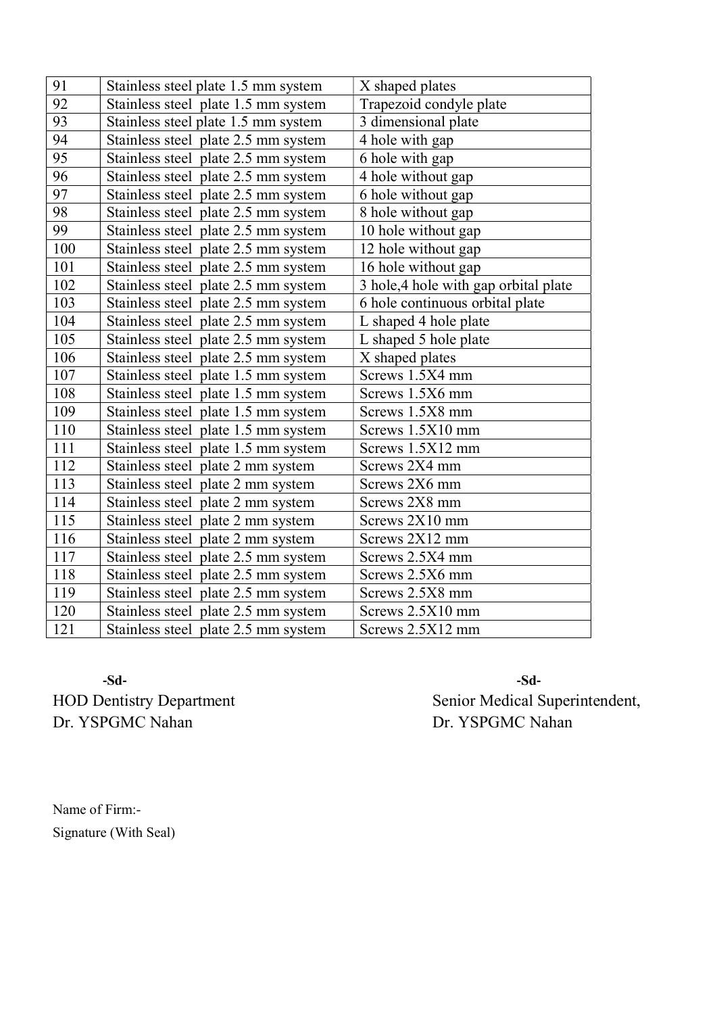| 91              | Stainless steel plate 1.5 mm system | X shaped plates                      |  |
|-----------------|-------------------------------------|--------------------------------------|--|
| 92              | Stainless steel plate 1.5 mm system | Trapezoid condyle plate              |  |
| 93              | Stainless steel plate 1.5 mm system | 3 dimensional plate                  |  |
| 94              | Stainless steel plate 2.5 mm system | 4 hole with gap                      |  |
| $\overline{95}$ | Stainless steel plate 2.5 mm system | 6 hole with gap                      |  |
| 96              | Stainless steel plate 2.5 mm system | 4 hole without gap                   |  |
| 97              | Stainless steel plate 2.5 mm system | 6 hole without gap                   |  |
| 98              | Stainless steel plate 2.5 mm system | 8 hole without gap                   |  |
| 99              | Stainless steel plate 2.5 mm system | 10 hole without gap                  |  |
| 100             | Stainless steel plate 2.5 mm system | 12 hole without gap                  |  |
| 101             | Stainless steel plate 2.5 mm system | 16 hole without gap                  |  |
| 102             | Stainless steel plate 2.5 mm system | 3 hole,4 hole with gap orbital plate |  |
| 103             | Stainless steel plate 2.5 mm system | 6 hole continuous orbital plate      |  |
| 104             | Stainless steel plate 2.5 mm system | L shaped 4 hole plate                |  |
| 105             | Stainless steel plate 2.5 mm system | L shaped 5 hole plate                |  |
| 106             | Stainless steel plate 2.5 mm system | X shaped plates                      |  |
| 107             | Stainless steel plate 1.5 mm system | Screws 1.5X4 mm                      |  |
| 108             | Stainless steel plate 1.5 mm system | Screws 1.5X6 mm                      |  |
| 109             | Stainless steel plate 1.5 mm system | Screws 1.5X8 mm                      |  |
| 110             | Stainless steel plate 1.5 mm system | Screws 1.5X10 mm                     |  |
| 111             | Stainless steel plate 1.5 mm system | Screws 1.5X12 mm                     |  |
| 112             | Stainless steel plate 2 mm system   | Screws 2X4 mm                        |  |
| 113             | Stainless steel plate 2 mm system   | Screws 2X6 mm                        |  |
| 114             | Stainless steel plate 2 mm system   | Screws 2X8 mm                        |  |
| 115             | Stainless steel plate 2 mm system   | Screws 2X10 mm                       |  |
| 116             | Stainless steel plate 2 mm system   | Screws 2X12 mm                       |  |
| 117             | Stainless steel plate 2.5 mm system | Screws 2.5X4 mm                      |  |
| 118             | Stainless steel plate 2.5 mm system | Screws 2.5X6 mm                      |  |
| 119             | Stainless steel plate 2.5 mm system | Screws 2.5X8 mm                      |  |
| 120             | Stainless steel plate 2.5 mm system | Screws 2.5X10 mm                     |  |
| 121             | Stainless steel plate 2.5 mm system | Screws 2.5X12 mm                     |  |
|                 |                                     |                                      |  |

-Sd- -Sd-Dr. YSPGMC Nahan Dr. YSPGMC Nahan

HOD Dentistry Department Senior Medical Superintendent,

Name of Firm:- Signature (With Seal)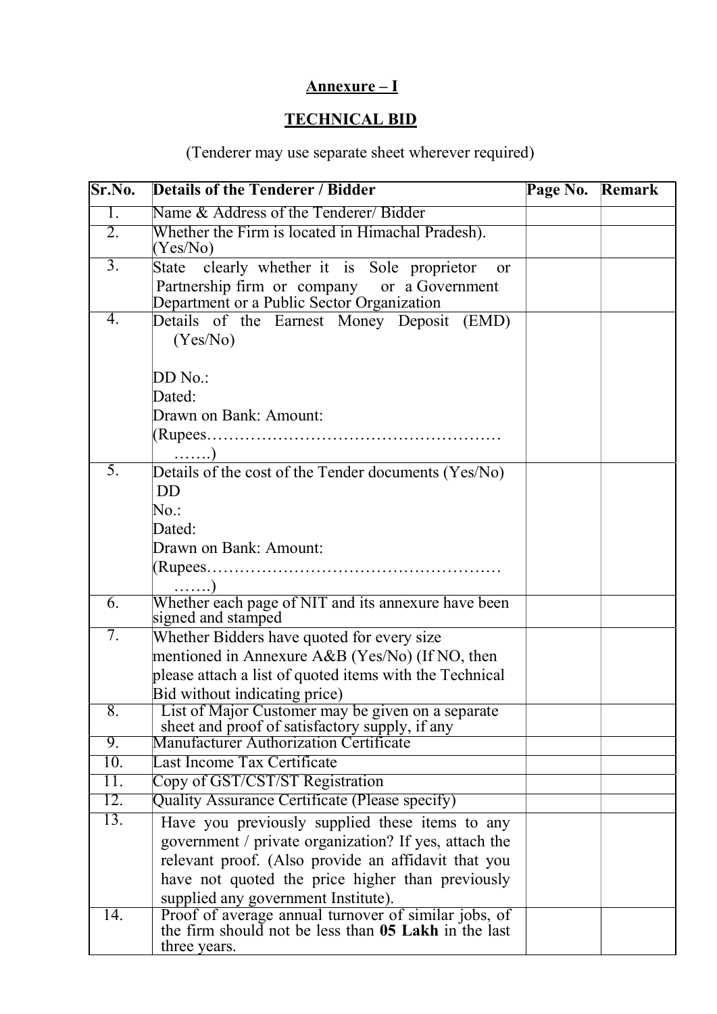# Annexure – I

# TECHNICAL BID

(Tenderer may use separate sheet wherever required)

| Sr.No.           | <b>Details of the Tenderer / Bidder</b>                                                                                                                  | Page No. Remark |  |  |
|------------------|----------------------------------------------------------------------------------------------------------------------------------------------------------|-----------------|--|--|
| $\overline{1}$ . | Name & Address of the Tenderer/Bidder                                                                                                                    |                 |  |  |
| 2.               | Whether the Firm is located in Himachal Pradesh).<br>(Yes/No)                                                                                            |                 |  |  |
| $\overline{3}$ . | clearly whether it is Sole proprietor<br>State<br><b>or</b><br>Partnership firm or company or a Government<br>Department or a Public Sector Organization |                 |  |  |
| 4.               | Details of the Earnest Money Deposit (EMD)<br>(Yes/No)                                                                                                   |                 |  |  |
|                  | DD No.:                                                                                                                                                  |                 |  |  |
|                  | Dated:                                                                                                                                                   |                 |  |  |
|                  | Drawn on Bank: Amount:                                                                                                                                   |                 |  |  |
|                  | $\ldots$ )                                                                                                                                               |                 |  |  |
| $\overline{5}$ . | Details of the cost of the Tender documents (Yes/No)<br><b>DD</b>                                                                                        |                 |  |  |
|                  | $No.$ :                                                                                                                                                  |                 |  |  |
|                  | Dated:                                                                                                                                                   |                 |  |  |
|                  | Drawn on Bank: Amount:                                                                                                                                   |                 |  |  |
|                  | $\ldots$ )                                                                                                                                               |                 |  |  |
| 6.               | Whether each page of NIT and its annexure have been<br>signed and stamped                                                                                |                 |  |  |
| 7.               | Whether Bidders have quoted for every size                                                                                                               |                 |  |  |
|                  | mentioned in Annexure A&B (Yes/No) (If NO, then                                                                                                          |                 |  |  |
|                  | please attach a list of quoted items with the Technical                                                                                                  |                 |  |  |
|                  | Bid without indicating price)                                                                                                                            |                 |  |  |
| 8.               | List of Major Customer may be given on a separate<br>sheet and proof of satisfactory supply, if any                                                      |                 |  |  |
| 9.               | <b>Manufacturer Authorization Certificate</b>                                                                                                            |                 |  |  |
| 10.              | Last Income Tax Certificate                                                                                                                              |                 |  |  |
| 11.              | Copy of GST/CST/ST Registration                                                                                                                          |                 |  |  |
| 12.              | Quality Assurance Certificate (Please specify)                                                                                                           |                 |  |  |
| 13.              | Have you previously supplied these items to any                                                                                                          |                 |  |  |
|                  | government / private organization? If yes, attach the                                                                                                    |                 |  |  |
|                  | relevant proof. (Also provide an affidavit that you                                                                                                      |                 |  |  |
|                  | have not quoted the price higher than previously                                                                                                         |                 |  |  |
|                  | supplied any government Institute).                                                                                                                      |                 |  |  |
| 14.              | Proof of average annual turnover of similar jobs, of<br>the firm should not be less than 05 Lakh in the last<br>three years.                             |                 |  |  |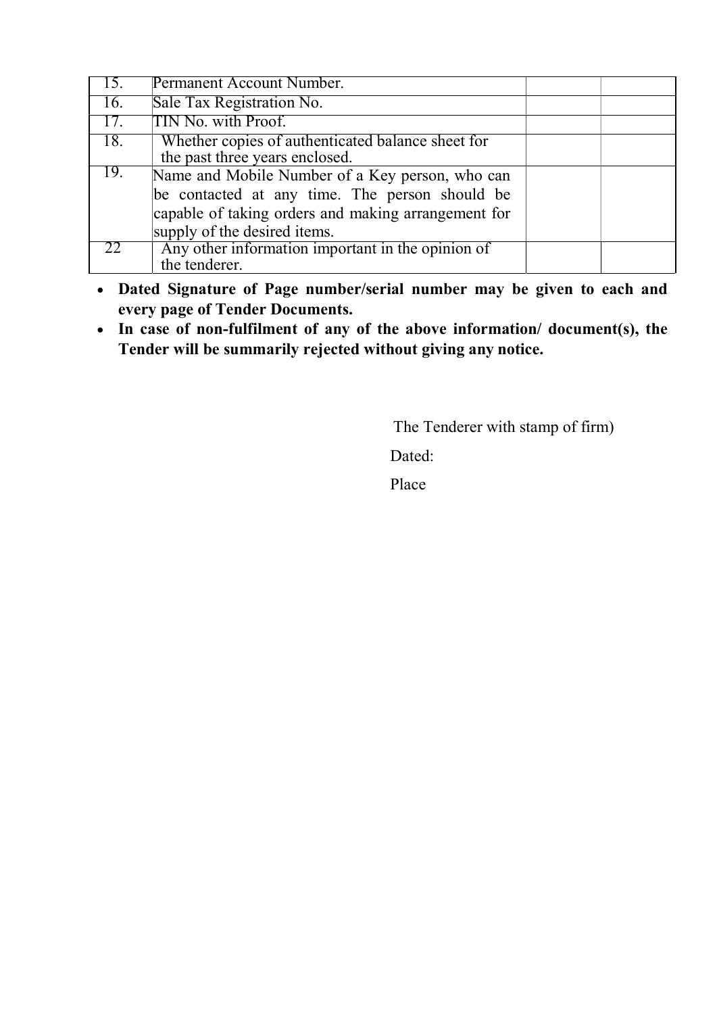| 15. | Permanent Account Number.                                                                                                                                                                |  |
|-----|------------------------------------------------------------------------------------------------------------------------------------------------------------------------------------------|--|
| 16. | Sale Tax Registration No.                                                                                                                                                                |  |
| 17. | TIN No. with Proof.                                                                                                                                                                      |  |
| 18. | Whether copies of authenticated balance sheet for<br>the past three years enclosed.                                                                                                      |  |
| 19. | Name and Mobile Number of a Key person, who can<br>be contacted at any time. The person should be<br>capable of taking orders and making arrangement for<br>supply of the desired items. |  |
| 22  | Any other information important in the opinion of<br>the tenderer.                                                                                                                       |  |

- Dated Signature of Page number/serial number may be given to each and every page of Tender Documents.
- In case of non-fulfilment of any of the above information/ document(s), the Tender will be summarily rejected without giving any notice.

The Tenderer with stamp of firm)

Dated:

Place **Place**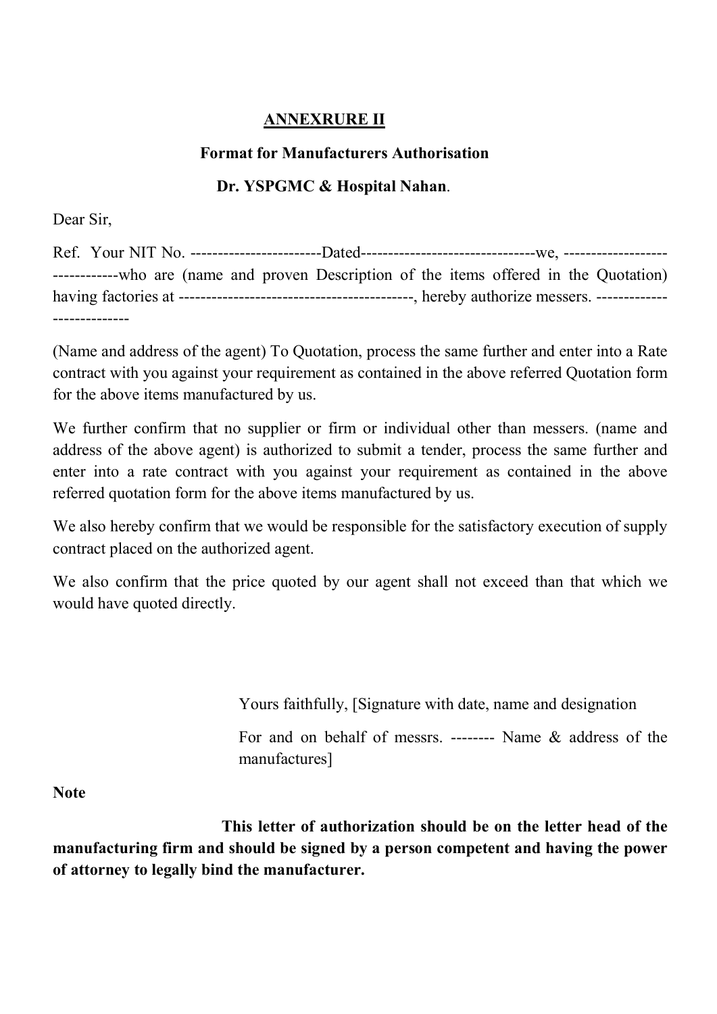# ANNEXRURE II

### Format for Manufacturers Authorisation

# Dr. YSPGMC & Hospital Nahan.

Dear Sir,

Ref. Your NIT No. ------------------------Dated--------------------------------we, ------------------- ------------who are (name and proven Description of the items offered in the Quotation) having factories at -------------------------------------------, hereby authorize messers. ------------- --------------

(Name and address of the agent) To Quotation, process the same further and enter into a Rate contract with you against your requirement as contained in the above referred Quotation form for the above items manufactured by us.

We further confirm that no supplier or firm or individual other than messers. (name and address of the above agent) is authorized to submit a tender, process the same further and enter into a rate contract with you against your requirement as contained in the above referred quotation form for the above items manufactured by us.

We also hereby confirm that we would be responsible for the satisfactory execution of supply contract placed on the authorized agent.

We also confirm that the price quoted by our agent shall not exceed than that which we would have quoted directly.

Yours faithfully, [Signature with date, name and designation

For and on behalf of messrs. -------- Name & address of the manufactures]

**Note** 

This letter of authorization should be on the letter head of the manufacturing firm and should be signed by a person competent and having the power of attorney to legally bind the manufacturer.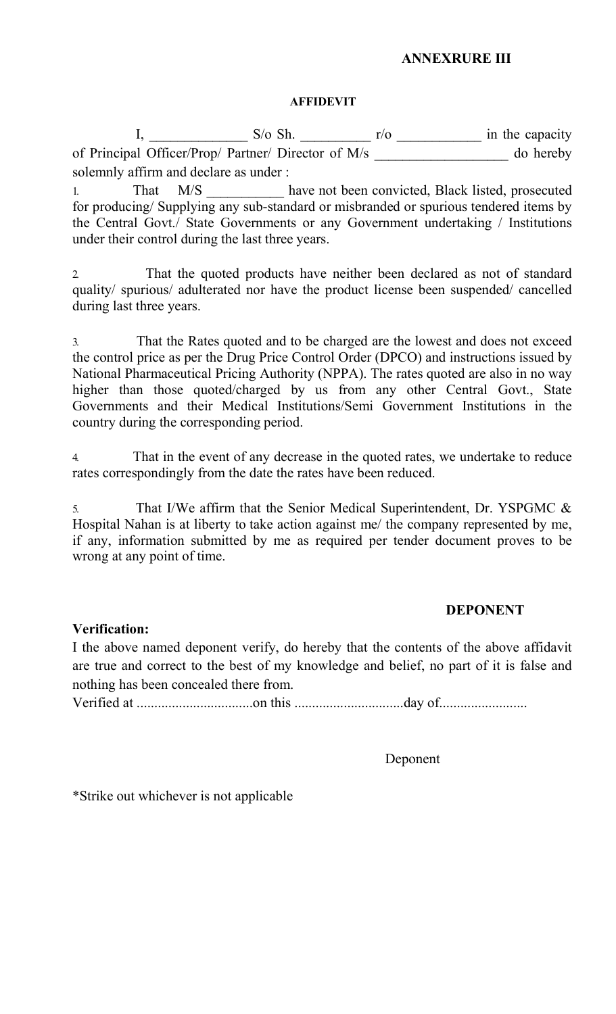## ANNEXRURE III

#### AFFIDEVIT

 I, \_\_\_\_\_\_\_\_\_\_\_\_\_\_ S/o Sh. \_\_\_\_\_\_\_\_\_\_ r/o \_\_\_\_\_\_\_\_\_\_\_\_ in the capacity of Principal Officer/Prop/ Partner/ Director of M/s do hereby solemnly affirm and declare as under :

1. That M/S have not been convicted, Black listed, prosecuted for producing/ Supplying any sub-standard or misbranded or spurious tendered items by the Central Govt./ State Governments or any Government undertaking / Institutions under their control during the last three years.

2. That the quoted products have neither been declared as not of standard quality/ spurious/ adulterated nor have the product license been suspended/ cancelled during last three years.

3. That the Rates quoted and to be charged are the lowest and does not exceed the control price as per the Drug Price Control Order (DPCO) and instructions issued by National Pharmaceutical Pricing Authority (NPPA). The rates quoted are also in no way higher than those quoted/charged by us from any other Central Govt., State Governments and their Medical Institutions/Semi Government Institutions in the country during the corresponding period.

4. That in the event of any decrease in the quoted rates, we undertake to reduce rates correspondingly from the date the rates have been reduced.

5. That I/We affirm that the Senior Medical Superintendent, Dr. YSPGMC & Hospital Nahan is at liberty to take action against me/ the company represented by me, if any, information submitted by me as required per tender document proves to be wrong at any point of time.

# DEPONENT

# Verification:

I the above named deponent verify, do hereby that the contents of the above affidavit are true and correct to the best of my knowledge and belief, no part of it is false and nothing has been concealed there from.

Verified at .................................on this ...............................day of.........................

Deponent

\*Strike out whichever is not applicable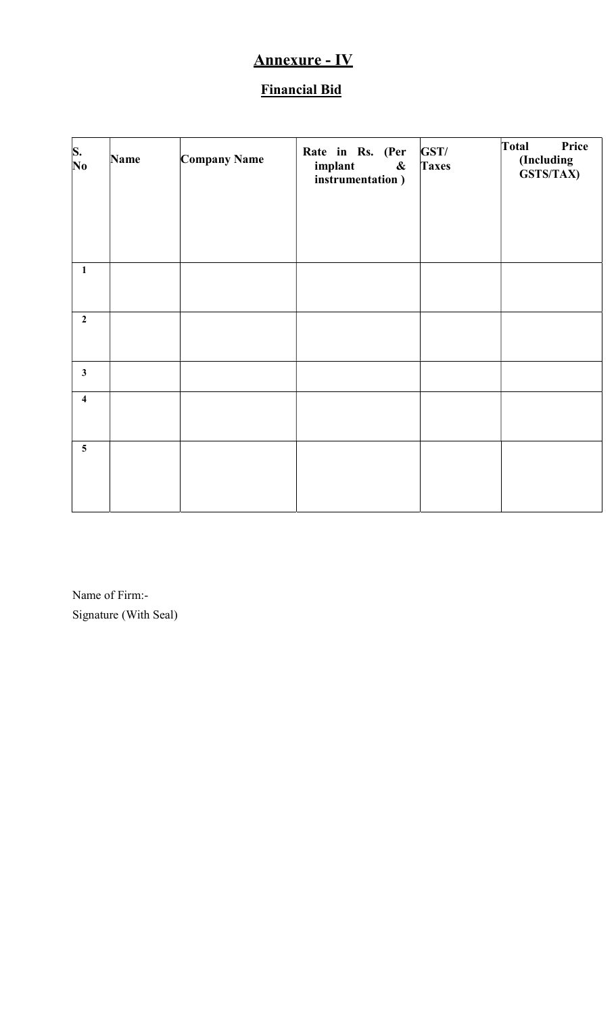# Annexure - IV

# Financial Bid

| S.<br>No                | Name | Company Name | Rate in Rs. (Per<br>implant<br>$\pmb{\&}$<br>instrumentation) | GST/<br><b>Taxes</b> | Total<br>Price<br>(Including<br>GSTS/TAX) |
|-------------------------|------|--------------|---------------------------------------------------------------|----------------------|-------------------------------------------|
|                         |      |              |                                                               |                      |                                           |
| $\mathbf{1}$            |      |              |                                                               |                      |                                           |
| $\overline{2}$          |      |              |                                                               |                      |                                           |
| $\mathbf{3}$            |      |              |                                                               |                      |                                           |
| $\overline{\mathbf{4}}$ |      |              |                                                               |                      |                                           |
| $\overline{\mathbf{5}}$ |      |              |                                                               |                      |                                           |

Name of Firm:- Signature (With Seal)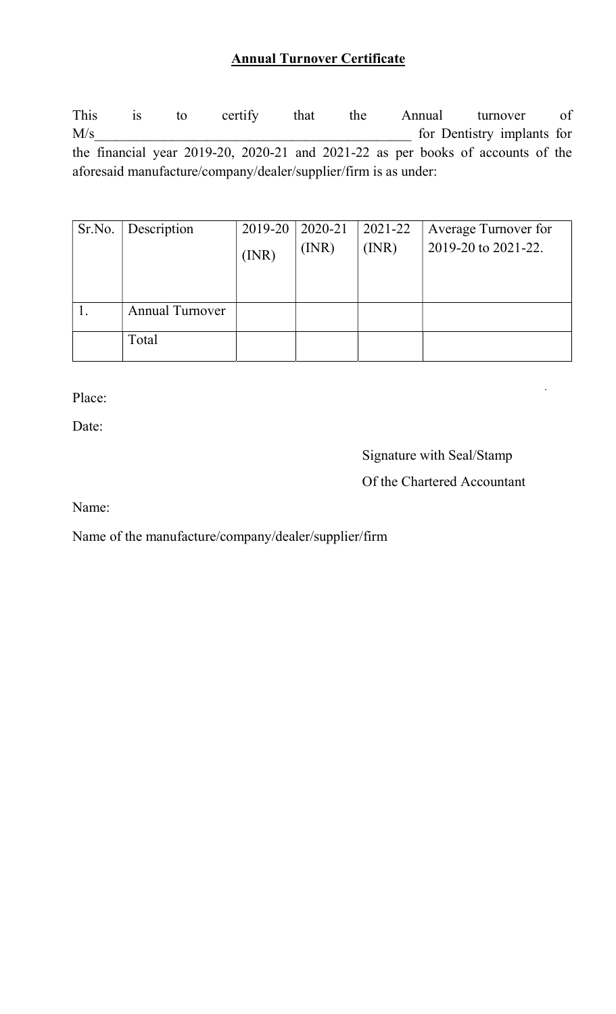# Annual Turnover Certificate

This is to certify that the Annual turnover of M/s for Dentistry implants for the financial year 2019-20, 2020-21 and 2021-22 as per books of accounts of the aforesaid manufacture/company/dealer/supplier/firm is as under:

| Sr.No. | Description            | 2019-20 | 2020-21 | 2021-22 | Average Turnover for |
|--------|------------------------|---------|---------|---------|----------------------|
|        |                        | (INR)   | (INR)   | (MR)    | 2019-20 to 2021-22.  |
|        |                        |         |         |         |                      |
|        | <b>Annual Turnover</b> |         |         |         |                      |
|        | Total                  |         |         |         |                      |

Place:

Date:

Signature with Seal/Stamp

# Of the Chartered Accountant

Name:

Name of the manufacture/company/dealer/supplier/firm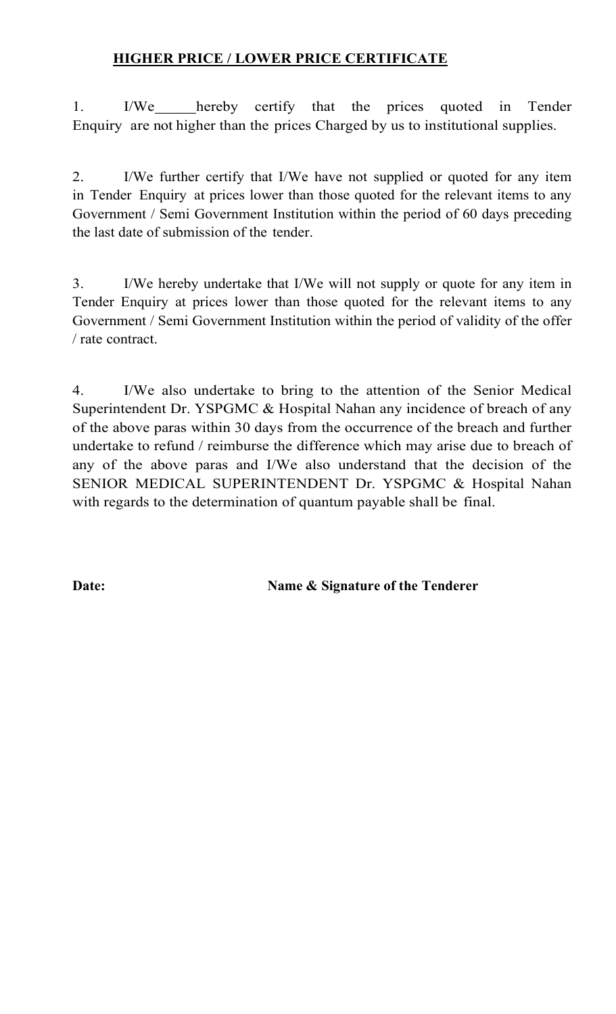# HIGHER PRICE / LOWER PRICE CERTIFICATE

1. I/We hereby certify that the prices quoted in Tender Enquiry are not higher than the prices Charged by us to institutional supplies.

2. I/We further certify that I/We have not supplied or quoted for any item in Tender Enquiry at prices lower than those quoted for the relevant items to any Government / Semi Government Institution within the period of 60 days preceding the last date of submission of the tender.

3. I/We hereby undertake that I/We will not supply or quote for any item in Tender Enquiry at prices lower than those quoted for the relevant items to any Government / Semi Government Institution within the period of validity of the offer / rate contract.

4. I/We also undertake to bring to the attention of the Senior Medical Superintendent Dr. YSPGMC & Hospital Nahan any incidence of breach of any of the above paras within 30 days from the occurrence of the breach and further undertake to refund / reimburse the difference which may arise due to breach of any of the above paras and I/We also understand that the decision of the SENIOR MEDICAL SUPERINTENDENT Dr. YSPGMC & Hospital Nahan with regards to the determination of quantum payable shall be final.

Date: Name & Signature of the Tenderer